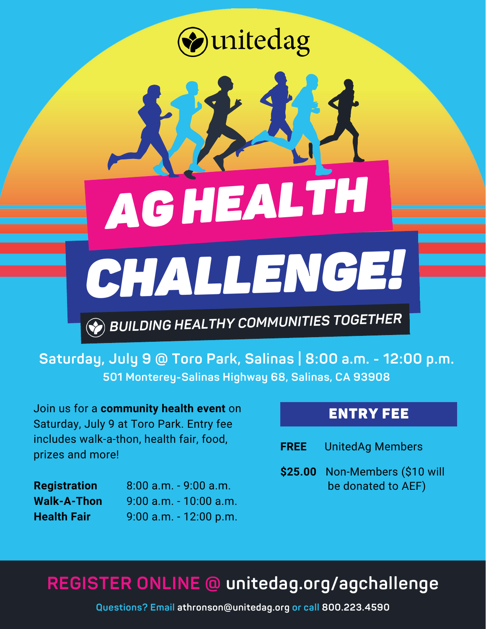unitedag

*AGHEALTH*



*BUILDING HEALTHY COMMUNITIES TOGETHER*

**Saturday, July 9 @ Toro Park, Salinas | 8:00 a.m. - 12:00 p.m. 501 Monterey-Salinas Highway 68, Salinas, CA 93908**

Join us for a **community health event** on Saturday, July 9 at Toro Park. Entry fee includes walk-a-thon, health fair, food, prizes and more!

**Registration Walk-A-Thon Health Fair** 8:00 a.m. - 9:00 a.m. 9:00 a.m. - 10:00 a.m. 9:00 a.m. - 12:00 p.m.

### ENTRY FEE

| <b>FREE</b> | <b>UnitedAg Members</b> |  |
|-------------|-------------------------|--|
|-------------|-------------------------|--|

**\$25.00** Non-Members (\$10 will be donated to AEF)

## **REGISTER ONLINE @ unitedag.org/agchallenge**

**Questions? Email athronson@unitedag.org or call 800.223.4590**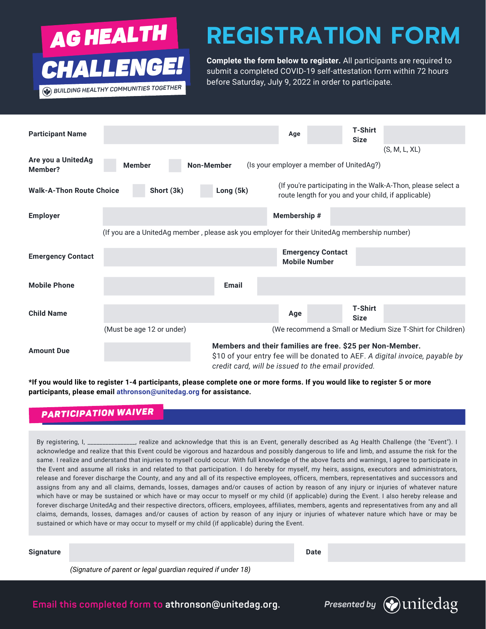

## **REGISTRATION FORM**

**Complete the form below to register.** All participants are required to CHALLENGE! Complete the form below to register. All participants are required to<br>completed COVID-19 self-attestation form within 72 hours before Saturday, July 9, 2022 in order to participate.

| <b>Participant Name</b>                                                                      |                                    |              | Age                                                                                                             | <b>T-Shirt</b><br><b>Size</b> |                                                                              |  |  |
|----------------------------------------------------------------------------------------------|------------------------------------|--------------|-----------------------------------------------------------------------------------------------------------------|-------------------------------|------------------------------------------------------------------------------|--|--|
| Are you a UnitedAg<br>Member?                                                                | <b>Member</b><br><b>Non-Member</b> |              | (Is your employer a member of UnitedAg?)                                                                        |                               | (S, M, L, XL)                                                                |  |  |
| <b>Walk-A-Thon Route Choice</b>                                                              | Short (3k)                         | Long (5k)    | route length for you and your child, if applicable)                                                             |                               | (If you're participating in the Walk-A-Thon, please select a                 |  |  |
| <b>Employer</b>                                                                              |                                    |              | Membership #                                                                                                    |                               |                                                                              |  |  |
| (If you are a UnitedAg member, please ask you employer for their UnitedAg membership number) |                                    |              |                                                                                                                 |                               |                                                                              |  |  |
| <b>Emergency Contact</b>                                                                     |                                    |              | <b>Emergency Contact</b><br><b>Mobile Number</b>                                                                |                               |                                                                              |  |  |
| <b>Mobile Phone</b>                                                                          |                                    | <b>Email</b> |                                                                                                                 |                               |                                                                              |  |  |
| <b>Child Name</b>                                                                            |                                    |              | Age                                                                                                             | <b>T-Shirt</b><br><b>Size</b> |                                                                              |  |  |
|                                                                                              | (Must be age 12 or under)          |              |                                                                                                                 |                               | (We recommend a Small or Medium Size T-Shirt for Children)                   |  |  |
| <b>Amount Due</b>                                                                            |                                    |              | Members and their families are free. \$25 per Non-Member.<br>credit card, will be issued to the email provided. |                               | \$10 of your entry fee will be donated to AEF. A digital invoice, payable by |  |  |

**\*If you would like to register 1-4 participants, please complete one or more forms. If you would like to register 5 or more participants, please email athronson@unitedag.org for assistance.**

### *PARTICIPATION WAIVER*

By registering, I, \_\_\_\_\_\_\_\_\_\_\_\_\_\_\_\_, realize and acknowledge that this is an Event, generally described as Ag Health Challenge (the "Event"). I acknowledge and realize that this Event could be vigorous and hazardous and possibly dangerous to life and limb, and assume the risk for the same. I realize and understand that injuries to myself could occur. With full knowledge of the above facts and warnings, I agree to participate in the Event and assume all risks in and related to that participation. I do hereby for myself, my heirs, assigns, executors and administrators, release and forever discharge the County, and any and all of its respective employees, officers, members, representatives and successors and assigns from any and all claims, demands, losses, damages and/or causes of action by reason of any injury or injuries of whatever nature which have or may be sustained or which have or may occur to myself or my child (if applicable) during the Event. I also hereby release and forever discharge UnitedAg and their respective directors, officers, employees, affiliates, members, agents and representatives from any and all claims, demands, losses, damages and/or causes of action by reason of any injury or injuries of whatever nature which have or may be sustained or which have or may occur to myself or my child (if applicable) during the Event.

**Signature Date** Date of the Contract of the Contract of the Contract of the Contract of the Date of the Contract of the Contract of the Contract of the Contract of the Contract of the Contract of the Contract of the Contr

*(Signature of parent or legal guardian required if under 18)*

**Email this completed form to athronson@unitedag.org.**

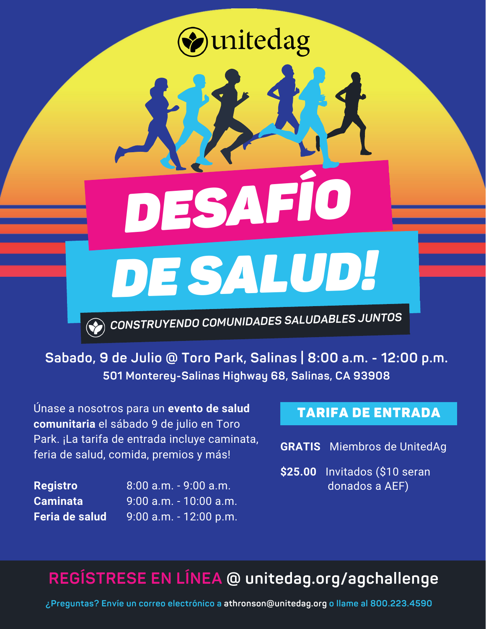# unitedag

*DE SALUD! DESAFÍO*

*CONSTRUYENDO COMUNIDADES SALUDABLES JUNTOS*

**Sabado, 9 de Julio @ Toro Park, Salinas | 8:00 a.m. - 12:00 p.m. 501 Monterey-Salinas Highway 68, Salinas, CA 93908**

Únase a nosotros para un **evento de salud comunitaria** el sábado 9 de julio en Toro Park. ¡La tarifa de entrada incluye caminata, feria de salud, comida, premios y más!

**Registro Caminata Feria de salud** 8:00 a.m. - 9:00 a.m. 9:00 a.m. - 10:00 a.m. 9:00 a.m. - 12:00 p.m.

### TARIFA DE ENTRADA

**GRATIS** Miembros de UnitedAg

**\$25.00** Invitados (\$10 seran donados a AEF)

### **REGÍSTRESE EN LÍNEA @ unitedag.org/agchallenge**

**¿Preguntas? Envíe un correo electrónico a athronson@unitedag.org o llame al 800.223.4590**